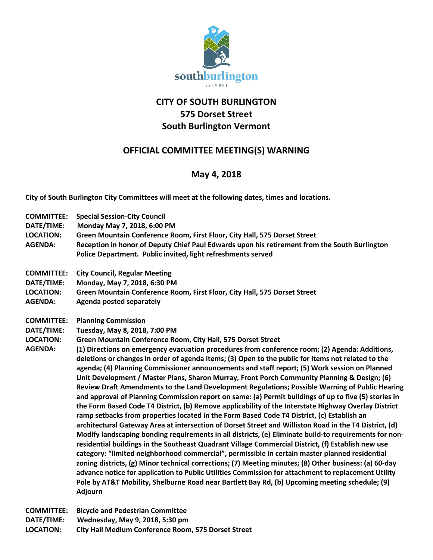

## **CITY OF SOUTH BURLINGTON 575 Dorset Street South Burlington Vermont**

## **OFFICIAL COMMITTEE MEETING(S) WARNING**

## **May 4, 2018**

**City of South Burlington City Committees will meet at the following dates, times and locations.** 

- **COMMITTEE: Special Session-City Council**
- **DATE/TIME: Monday May 7, 2018, 6:00 PM**
- **LOCATION: Green Mountain Conference Room, First Floor, City Hall, 575 Dorset Street**
- **AGENDA: Reception in honor of Deputy Chief Paul Edwards upon his retirement from the South Burlington Police Department. Public invited, light refreshments served**
- **COMMITTEE: City Council, Regular Meeting**
- **DATE/TIME: Monday, May 7, 2018, 6:30 PM**
- **LOCATION: Green Mountain Conference Room, First Floor, City Hall, 575 Dorset Street**
- **AGENDA: Agenda posted separately**
- **COMMITTEE: Planning Commission**
- **DATE/TIME: Tuesday, May 8, 2018, 7:00 PM**
- **LOCATION: Green Mountain Conference Room, City Hall, 575 Dorset Street**
- **AGENDA: (1) Directions on emergency evacuation procedures from conference room; (2) Agenda: Additions, deletions or changes in order of agenda items; (3) Open to the public for items not related to the agenda; (4) Planning Commissioner announcements and staff report; (5) Work session on Planned Unit Development / Master Plans, Sharon Murray, Front Porch Community Planning & Design; (6) Review Draft Amendments to the Land Development Regulations; Possible Warning of Public Hearing and approval of Planning Commission report on same: (a) Permit buildings of up to five (5) stories in the Form Based Code T4 District, (b) Remove applicability of the Interstate Highway Overlay District ramp setbacks from properties located in the Form Based Code T4 District, (c) Establish an architectural Gateway Area at intersection of Dorset Street and Williston Road in the T4 District, (d) Modify landscaping bonding requirements in all districts, (e) Eliminate build-to requirements for nonresidential buildings in the Southeast Quadrant Village Commercial District, (f) Establish new use category: "limited neighborhood commercial", permissible in certain master planned residential zoning districts, (g) Minor technical corrections; (7) Meeting minutes; (8) Other business: (a) 60-day advance notice for application to Public Utilities Commission for attachment to replacement Utility Pole by AT&T Mobility, Shelburne Road near Bartlett Bay Rd, (b) Upcoming meeting schedule; (9) Adjourn**

**COMMITTEE: Bicycle and Pedestrian Committee DATE/TIME: Wednesday, May 9, 2018, 5:30 pm LOCATION: City Hall Medium Conference Room, 575 Dorset Street**